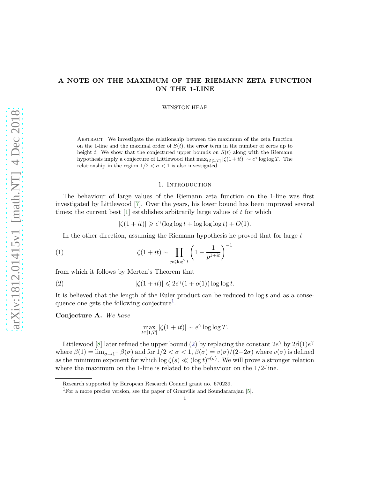# A NOTE ON THE MAXIMUM OF THE RIEMANN ZETA FUNCTION ON THE 1-LINE

WINSTON HEAP

Abstract. We investigate the relationship between the maximum of the zeta function on the 1-line and the maximal order of  $S(t)$ , the error term in the number of zeros up to height t. We show that the conjectured upper bounds on  $S(t)$  along with the Riemann hypothesis imply a conjecture of Littlewood that  $\max_{t \in [1,T]} |\zeta(1+it)| \sim e^{\gamma} \log \log T$ . The relationship in the region  $1/2 < \sigma < 1$  is also investigated.

#### 1. Introduction

The behaviour of large values of the Riemann zeta function on the 1-line was first investigated by Littlewood [\[7\]](#page-7-0). Over the years, his lower bound has been improved several times; the current best [\[1\]](#page-7-1) establishes arbitrarily large values of t for which

<span id="page-0-3"></span> $|\zeta(1+it)| \geq e^{\gamma}(\log \log t + \log \log \log t) + O(1).$ 

In the other direction, assuming the Riemann hypothesis he proved that for large  $t$ 

(1) 
$$
\zeta(1+it) \sim \prod_{p \leq \log^2 t} \left(1 - \frac{1}{p^{1+it}}\right)^{-1}
$$

from which it follows by Merten's Theorem that

(2) 
$$
|\zeta(1+it)| \leq 2e^{\gamma}(1+o(1))\log\log t.
$$

It is believed that the length of the Euler product can be reduced to  $\log t$  and as a conse-quence one gets the following conjecture<sup>[1](#page-0-0)</sup>.

#### <span id="page-0-2"></span>Conjecture A. We have

<span id="page-0-1"></span>
$$
\max_{t \in [1,T]} |\zeta(1+it)| \sim e^{\gamma} \log \log T.
$$

Littlewood [\[8\]](#page-7-2) later refined the upper bound [\(2\)](#page-0-1) by replacing the constant  $2e^{\gamma}$  by  $2\beta(1)e^{\gamma}$ where  $\beta(1) = \lim_{\sigma \to 1^-} \beta(\sigma)$  and for  $1/2 < \sigma < 1$ ,  $\beta(\sigma) = v(\sigma)/(2-2\sigma)$  where  $v(\sigma)$  is defined as the minimum exponent for which  $\log \zeta(s) \ll (\log t)^{v(\sigma)}$ . We will prove a stronger relation where the maximum on the 1-line is related to the behaviour on the  $1/2$ -line.

Research supported by European Research Council grant no. 670239.

<span id="page-0-0"></span><sup>&</sup>lt;sup>1</sup>For a more precise version, see the paper of Granville and Soundararajan [\[5\]](#page-7-3).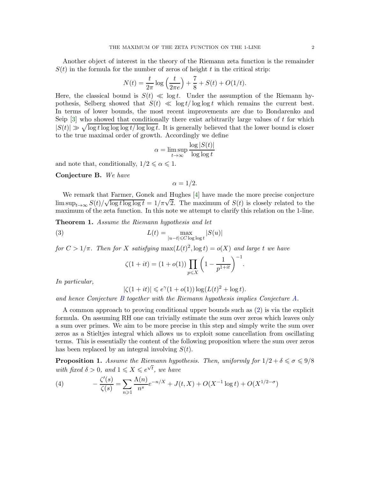Another object of interest in the theory of the Riemann zeta function is the remainder  $S(t)$  in the formula for the number of zeros of height t in the critical strip:

$$
N(t) = \frac{t}{2\pi} \log\left(\frac{t}{2\pi e}\right) + \frac{7}{8} + S(t) + O(1/t).
$$

Here, the classical bound is  $S(t) \ll \log t$ . Under the assumption of the Riemann hypothesis, Selberg showed that  $S(t) \ll \log t / \log \log t$  which remains the current best. In terms of lower bounds, the most recent improvements are due to Bondarenko and Seip  $[3]$  who showed that conditionally there exist arbitrarily large values of t for which  $|S(t)| \gg \sqrt{\log t \log \log t}$  log log t/ log log t. It is generally believed that the lower bound is closer to the true maximal order of growth. Accordingly we define

$$
\alpha = \limsup_{t \to \infty} \frac{\log |S(t)|}{\log \log t}
$$

and note that, conditionally,  $1/2 \le \alpha \le 1$ .

<span id="page-1-0"></span>Conjecture B. We have

 $\alpha = 1/2$ .

We remark that Farmer, Gonek and Hughes [\[4\]](#page-7-5) have made the more precise conjecture  $\limsup_{t\to\infty} S(t)/\sqrt{\log t \log \log t} = 1/\pi \sqrt{2}$ . The maximum of  $S(t)$  is closely related to the maximum of the zeta function. In this note we attempt to clarify this relation on the 1-line.

<span id="page-1-1"></span>**Theorem 1.** Assume the Riemann hypothesis and let

(3) 
$$
L(t) = \max_{|u-t| \leq C \log \log t} |S(u)|
$$

for  $C > 1/\pi$ . Then for X satisfying  $\max(L(t)^2, \log t) = o(X)$  and large t we have

<span id="page-1-2"></span>
$$
\zeta(1+it) = (1+o(1)) \prod_{p \leq X} \left(1 - \frac{1}{p^{1+it}}\right)^{-1}.
$$

In particular,

$$
|\zeta(1+it)| \leq e^{\gamma}(1+o(1))\log(L(t)^{2}+\log t).
$$

and hence Conjecture [B](#page-1-0) together with the Riemann hypothesis implies Conjecture [A.](#page-0-2)

A common approach to proving conditional upper bounds such as [\(2\)](#page-0-1) is via the explicit formula. On assuming RH one can trivially estimate the sum over zeros which leaves only a sum over primes. We aim to be more precise in this step and simply write the sum over zeros as a Stieltjes integral which allows us to exploit some cancellation from oscillating terms. This is essentially the content of the following proposition where the sum over zeros has been replaced by an integral involving  $S(t)$ .

<span id="page-1-4"></span>**Proposition 1.** Assume the Riemann hypothesis. Then, uniformly for  $1/2 + \delta \le \sigma \le 9/8$ with fixed  $\delta > 0$ , and  $1 \leqslant X \leqslant e^{\sqrt{t}}$ , we have

<span id="page-1-3"></span>(4) 
$$
-\frac{\zeta'(s)}{\zeta(s)} = \sum_{n\geqslant 1} \frac{\Lambda(n)}{n^s} e^{-n/X} + J(t, X) + O(X^{-1} \log t) + O(X^{1/2-\sigma})
$$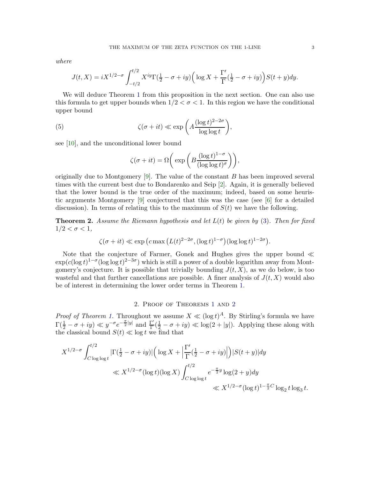where

$$
J(t, X) = iX^{1/2-\sigma} \int_{-t/2}^{t/2} X^{iy} \Gamma(\frac{1}{2} - \sigma + iy) \left( \log X + \frac{\Gamma'}{\Gamma}(\frac{1}{2} - \sigma + iy) \right) S(t + y) dy.
$$

We will deduce Theorem [1](#page-1-1) from this proposition in the next section. One can also use this formula to get upper bounds when  $1/2 < \sigma < 1$ . In this region we have the conditional upper bound

(5) 
$$
\zeta(\sigma + it) \ll \exp\left(A\frac{(\log t)^{2-2\sigma}}{\log\log t}\right),\,
$$

see [\[10\]](#page-7-6), and the unconditional lower bound

$$
\zeta(\sigma+it)=\Omega\bigg(\exp\bigg(B\frac{(\log t)^{1-\sigma}}{(\log\log t)^{\sigma}}\bigg)\bigg),
$$

originally due to Montgomery  $[9]$ . The value of the constant B has been improved several times with the current best due to Bondarenko and Seip [\[2\]](#page-7-8). Again, it is generally believed that the lower bound is the true order of the maximum; indeed, based on some heuristic arguments Montgomery [\[9\]](#page-7-7) conjectured that this was the case (see [\[6\]](#page-7-9) for a detailed discussion). In terms of relating this to the maximum of  $S(t)$  we have the following.

<span id="page-2-0"></span>**Theorem 2.** Assume the Riemann hypothesis and let  $L(t)$  be given by [\(3\)](#page-1-2). Then for fixed  $1/2 < \sigma < 1$ ,

$$
\zeta(\sigma + it) \ll \exp\left(c \max\left(L(t)^{2-2\sigma}, (\log t)^{1-\sigma}\right)(\log \log t)^{1-2\sigma}\right).
$$

Note that the conjecture of Farmer, Gonek and Hughes gives the upper bound ≪  $\exp(c(\log t)^{1-\sigma}(\log \log t)^{2-3\sigma})$  which is still a power of a double logarithm away from Montgomery's conjecture. It is possible that trivially bounding  $J(t, X)$ , as we do below, is too wasteful and that further cancellations are possible. A finer analysis of  $J(t, X)$  would also be of interest in determining the lower order terms in Theorem [1.](#page-1-1)

## 2. Proof of Theorems [1](#page-1-1) and [2](#page-2-0)

*Proof of Theorem [1.](#page-1-1)* Throughout we assume  $X \ll (\log t)^A$ . By Stirling's formula we have  $\Gamma(\frac{1}{2}-\sigma + iy) \ll y^{-\sigma} e^{-\frac{\pi}{2}|y|}$  and  $\frac{\Gamma'}{\Gamma}$  $\frac{\Gamma'}{\Gamma}(\frac{1}{2}-\sigma+iy)\ll \log(2+|y|)$ . Applying these along with the classical bound  $S(t) \ll \log t$  we find that

$$
X^{1/2-\sigma} \int_{C \log \log t}^{t/2} |\Gamma(\frac{1}{2} - \sigma + iy)| \left( \log X + \left| \frac{\Gamma'}{\Gamma}(\frac{1}{2} - \sigma + iy) \right| \right) |S(t + y)| dy
$$
  

$$
\ll X^{1/2-\sigma} (\log t) (\log X) \int_{C \log \log t}^{t/2} e^{-\frac{\pi}{2}y} \log(2 + y) dy
$$
  

$$
\ll X^{1/2-\sigma} (\log t)^{1-\frac{\pi}{2}C} \log_2 t \log_3 t.
$$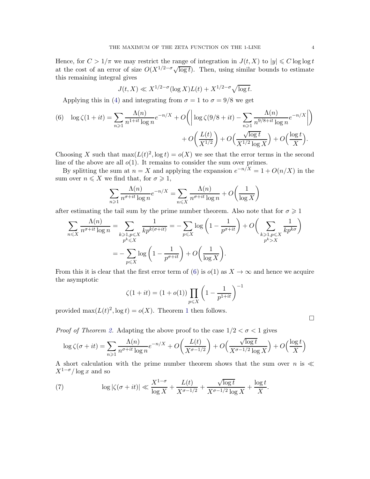Hence, for  $C > 1/\pi$  we may restrict the range of integration in  $J(t, X)$  to  $|y| \leq C \log \log t$ at the cost of an error of size  $O(X^{1/2-\sigma}\sqrt{\log t})$ . Then, using similar bounds to estimate this remaining integral gives

$$
J(t, X) \ll X^{1/2 - \sigma} (\log X) L(t) + X^{1/2 - \sigma} \sqrt{\log t}.
$$

Applying this in [\(4\)](#page-1-3) and integrating from  $\sigma = 1$  to  $\sigma = 9/8$  we get

<span id="page-3-0"></span>(6) 
$$
\log \zeta(1+it) = \sum_{n\geq 1} \frac{\Lambda(n)}{n^{1+it} \log n} e^{-n/X} + O\left( \left| \log \zeta(9/8+it) - \sum_{n\geq 1} \frac{\Lambda(n)}{n^{9/8+it} \log n} e^{-n/X} \right| \right) + O\left( \frac{L(t)}{X^{1/2}} \right) + O\left( \frac{\sqrt{\log t}}{X^{1/2} \log X} \right) + O\left( \frac{\log t}{X} \right).
$$

Choosing X such that  $\max(L(t)^2, \log t) = o(X)$  we see that the error terms in the second line of the above are all  $o(1)$ . It remains to consider the sum over primes.

By splitting the sum at  $n = X$  and applying the expansion  $e^{-n/X} = 1 + O(n/X)$  in the sum over  $n \leqslant X$  we find that, for  $\sigma \geqslant 1$ ,

$$
\sum_{n\geqslant 1} \frac{\Lambda(n)}{n^{\sigma+it} \log n} e^{-n/X} = \sum_{n\leqslant X} \frac{\Lambda(n)}{n^{\sigma+it} \log n} + O\left(\frac{1}{\log X}\right)
$$

after estimating the tail sum by the prime number theorem. Also note that for  $\sigma \geq 1$ 

$$
\sum_{n \leq X} \frac{\Lambda(n)}{n^{\sigma+it} \log n} = \sum_{\substack{k \geq 1, p \leq X \\ p^k \leq X}} \frac{1}{k p^{k(\sigma+it)}} = -\sum_{p \leq X} \log \left( 1 - \frac{1}{p^{\sigma+it}} \right) + O\left( \sum_{\substack{k \geq 1, p \leq X \\ p^k > X}} \frac{1}{k p^{k\sigma}} \right)
$$
\n
$$
= -\sum_{p \leq X} \log \left( 1 - \frac{1}{p^{\sigma+it}} \right) + O\left( \frac{1}{\log X} \right).
$$

From this it is clear that the first error term of [\(6\)](#page-3-0) is  $o(1)$  as  $X \to \infty$  and hence we acquire the asymptotic

$$
\zeta(1+it) = (1+o(1)) \prod_{p \le X} \left(1 - \frac{1}{p^{1+it}}\right)^{-1}
$$

provided  $\max(L(t)^2, \log t) = o(X)$ . Theorem [1](#page-1-1) then follows.

 $\Box$ 

*Proof of Theorem [2.](#page-2-0)* Adapting the above proof to the case  $1/2 < \sigma < 1$  gives

$$
\log \zeta(\sigma+it) = \sum_{n\geq 1} \frac{\Lambda(n)}{n^{\sigma+it} \log n} e^{-n/X} + O\left(\frac{L(t)}{X^{\sigma-1/2}}\right) + O\left(\frac{\sqrt{\log t}}{X^{\sigma-1/2} \log X}\right) + O\left(\frac{\log t}{X}\right)
$$

A short calculation with the prime number theorem shows that the sum over n is  $\ll$  $X^{1-\sigma}/\log x$  and so

(7) 
$$
\log|\zeta(\sigma+it)| \ll \frac{X^{1-\sigma}}{\log X} + \frac{L(t)}{X^{\sigma-1/2}} + \frac{\sqrt{\log t}}{X^{\sigma-1/2}\log X} + \frac{\log t}{X}.
$$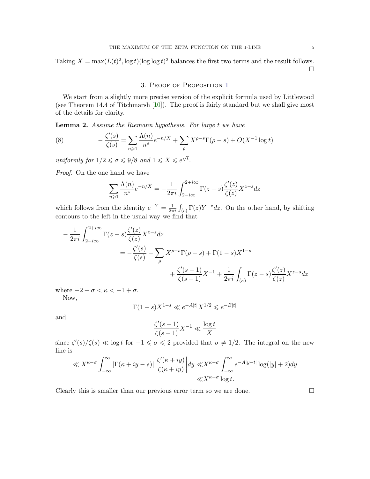Taking  $X = \max(L(t)^2, \log t)(\log \log t)^2$  balances the first two terms and the result follows.

 $\Box$ 

## 3. Proof of Proposition [1](#page-1-4)

We start from a slightly more precise version of the explicit formula used by Littlewood (see Theorem 14.4 of Titchmarsh [\[10\]](#page-7-6)). The proof is fairly standard but we shall give most of the details for clarity.

Lemma 2. Assume the Riemann hypothesis. For large t we have

<span id="page-4-0"></span>(8) 
$$
-\frac{\zeta'(s)}{\zeta(s)} = \sum_{n\geq 1} \frac{\Lambda(n)}{n^s} e^{-n/X} + \sum_{\rho} X^{\rho-s} \Gamma(\rho-s) + O(X^{-1} \log t)
$$

uniformly for  $1/2 \le \sigma \le 9/8$  and  $1 \le X \le e^{\sqrt{t}}$ .

Proof. On the one hand we have

$$
\sum_{n\geqslant 1} \frac{\Lambda(n)}{n^s} e^{-n/X} = -\frac{1}{2\pi i} \int_{2-i\infty}^{2+i\infty} \Gamma(z-s) \frac{\zeta'(z)}{\zeta(z)} X^{z-s} dz
$$

which follows from the identity  $e^{-Y} = \frac{1}{2\pi}$  $\frac{1}{2\pi i} \int_{(c)} \Gamma(z) Y^{-z} dz$ . On the other hand, by shifting contours to the left in the usual way we find that

$$
-\frac{1}{2\pi i} \int_{2-i\infty}^{2+i\infty} \Gamma(z-s) \frac{\zeta'(z)}{\zeta(z)} X^{z-s} dz
$$
  
=  $-\frac{\zeta'(s)}{\zeta(s)} - \sum_{\rho} X^{\rho-s} \Gamma(\rho-s) + \Gamma(1-s) X^{1-s}$   
+  $\frac{\zeta'(s-1)}{\zeta(s-1)} X^{-1} + \frac{1}{2\pi i} \int_{(\kappa)} \Gamma(z-s) \frac{\zeta'(z)}{\zeta(z)} X^{z-s} dz$ 

where  $-2 + \sigma < \kappa < -1 + \sigma$ .

Now,

$$
\Gamma(1-s)X^{1-s} \ll e^{-A|t|}X^{1/2} \leq e^{-B|t|}
$$

and

$$
\frac{\zeta'(s-1)}{\zeta(s-1)}X^{-1}\ll \frac{\log t}{X}
$$

since  $\zeta'(s)/\zeta(s) \ll \log t$  for  $-1 \leq \sigma \leq 2$  provided that  $\sigma \neq 1/2$ . The integral on the new line is

$$
\ll X^{\kappa-\sigma} \int_{-\infty}^{\infty} |\Gamma(\kappa+iy-s)| \left| \frac{\zeta'(\kappa+iy)}{\zeta(\kappa+iy)} \right| dy \ll X^{\kappa-\sigma} \int_{-\infty}^{\infty} e^{-A|y-t|} \log(|y|+2) dy
$$
  

$$
\ll X^{\kappa-\sigma} \log t.
$$

Clearly this is smaller than our previous error term so we are done.  $\Box$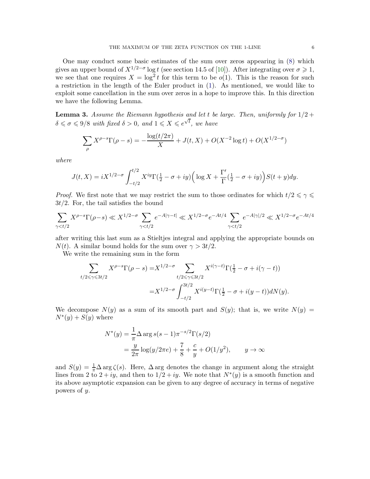One may conduct some basic estimates of the sum over zeros appearing in [\(8\)](#page-4-0) which gives an upper bound of  $X^{1/2-\sigma}$  log t (see section 14.5 of [\[10\]](#page-7-6)). After integrating over  $\sigma \geqslant 1$ , we see that one requires  $X = \log^2 t$  for this term to be  $o(1)$ . This is the reason for such a restriction in the length of the Euler product in [\(1\)](#page-0-3). As mentioned, we would like to exploit some cancellation in the sum over zeros in a hope to improve this. In this direction we have the following Lemma.

**Lemma 3.** Assume the Riemann hypothesis and let t be large. Then, uniformly for  $1/2$  +  $\delta \leq \sigma \leq 9/8$  with fixed  $\delta > 0$ , and  $1 \leq X \leq e^{\sqrt{t}}$ , we have

$$
\sum_{\rho} X^{\rho - s} \Gamma(\rho - s) = -\frac{\log(t/2\pi)}{X} + J(t, X) + O(X^{-2} \log t) + O(X^{1/2 - \sigma})
$$

where

$$
J(t, X) = iX^{1/2-\sigma} \int_{-t/2}^{t/2} X^{iy} \Gamma(\frac{1}{2} - \sigma + iy) \left( \log X + \frac{\Gamma'}{\Gamma}(\frac{1}{2} - \sigma + iy) \right) S(t + y) dy.
$$

*Proof.* We first note that we may restrict the sum to those ordinates for which  $t/2 \leq \gamma \leq$  $3t/2$ . For, the tail satisfies the bound

$$
\sum_{\gamma < t/2} X^{\rho - s} \Gamma(\rho - s) \ll X^{1/2 - \sigma} \sum_{\gamma < t/2} e^{-A|\gamma - t|} \ll X^{1/2 - \sigma} e^{-At/4} \sum_{\gamma < t/2} e^{-A|\gamma|/2} \ll X^{1/2 - \sigma} e^{-At/4}
$$

after writing this last sum as a Stieltjes integral and applying the appropriate bounds on  $N(t)$ . A similar bound holds for the sum over  $\gamma > 3t/2$ .

We write the remaining sum in the form

$$
\sum_{t/2 \le \gamma \le 3t/2} X^{\rho-s} \Gamma(\rho-s) = X^{1/2-\sigma} \sum_{t/2 \le \gamma \le 3t/2} X^{i(\gamma-t)} \Gamma(\frac{1}{2} - \sigma + i(\gamma - t))
$$
  
= 
$$
X^{1/2-\sigma} \int_{-t/2}^{3t/2} X^{i(y-t)} \Gamma(\frac{1}{2} - \sigma + i(y - t)) dN(y).
$$

We decompose  $N(y)$  as a sum of its smooth part and  $S(y)$ ; that is, we write  $N(y) =$  $N^*(y) + S(y)$  where

$$
N^*(y) = \frac{1}{\pi} \Delta \arg s(s-1)\pi^{-s/2} \Gamma(s/2)
$$
  
=  $\frac{y}{2\pi} \log(y/2\pi e) + \frac{7}{8} + \frac{c}{y} + O(1/y^2), \qquad y \to \infty$ 

and  $S(y) = \frac{1}{\pi} \Delta \arg \zeta(s)$ . Here,  $\Delta \arg$  denotes the change in argument along the straight lines from 2 to  $2 + iy$ , and then to  $1/2 + iy$ . We note that  $N^*(y)$  is a smooth function and its above asymptotic expansion can be given to any degree of accuracy in terms of negative powers of y.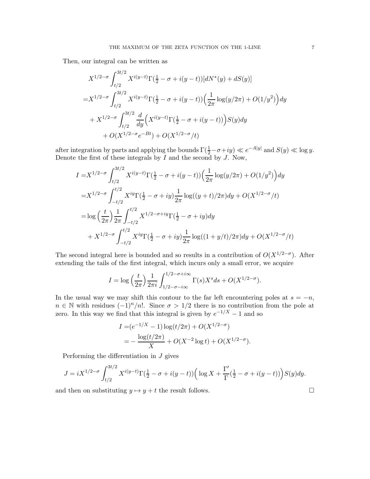Then, our integral can be written as

$$
X^{1/2-\sigma} \int_{t/2}^{3t/2} X^{i(y-t)} \Gamma(\frac{1}{2} - \sigma + i(y-t)) [dN^*(y) + dS(y)]
$$
  
=  $X^{1/2-\sigma} \int_{t/2}^{3t/2} X^{i(y-t)} \Gamma(\frac{1}{2} - \sigma + i(y-t)) (\frac{1}{2\pi} \log(y/2\pi) + O(1/y^2)) dy$   
+  $X^{1/2-\sigma} \int_{t/2}^{3t/2} \frac{d}{dy} (X^{i(y-t)} \Gamma(\frac{1}{2} - \sigma + i(y-t))) S(y) dy$   
+  $O(X^{1/2-\sigma}e^{-Bt}) + O(X^{1/2-\sigma}/t)$ 

after integration by parts and applying the bounds  $\Gamma(\frac{1}{2} - \sigma + iy) \ll e^{-A|y|}$  and  $S(y) \ll \log y$ . Denote the first of these integrals by  $\overline{I}$  and the second by  $\overline{J}$ . Now,

$$
I = X^{1/2-\sigma} \int_{t/2}^{3t/2} X^{i(y-t)} \Gamma(\frac{1}{2} - \sigma + i(y-t)) \left(\frac{1}{2\pi} \log(y/2\pi) + O(1/y^2)\right) dy
$$
  
\n
$$
= X^{1/2-\sigma} \int_{-t/2}^{t/2} X^{iy} \Gamma(\frac{1}{2} - \sigma + iy) \frac{1}{2\pi} \log((y+t)/2\pi) dy + O(X^{1/2-\sigma}/t)
$$
  
\n
$$
= \log \left(\frac{t}{2\pi}\right) \frac{1}{2\pi} \int_{-t/2}^{t/2} X^{1/2-\sigma+iy} \Gamma(\frac{1}{2} - \sigma + iy) dy
$$
  
\n
$$
+ X^{1/2-\sigma} \int_{-t/2}^{t/2} X^{iy} \Gamma(\frac{1}{2} - \sigma + iy) \frac{1}{2\pi} \log((1+y/t)/2\pi) dy + O(X^{1/2-\sigma}/t)
$$

The second integral here is bounded and so results in a contribution of  $O(X^{1/2-\sigma})$ . After extending the tails of the first integral, which incurs only a small error, we acquire

$$
I = \log\left(\frac{t}{2\pi}\right) \frac{1}{2\pi i} \int_{1/2-\sigma - i\infty}^{1/2-\sigma + i\infty} \Gamma(s) X^s ds + O(X^{1/2-\sigma}).
$$

In the usual way we may shift this contour to the far left encountering poles at  $s = -n$ ,  $n \in \mathbb{N}$  with residues  $(-1)^n/n!$ . Since  $\sigma > 1/2$  there is no contribution from the pole at zero. In this way we find that this integral is given by  $e^{-1/X} - 1$  and so

$$
I = (e^{-1/X} - 1) \log(t/2\pi) + O(X^{1/2-\sigma})
$$
  
= 
$$
-\frac{\log(t/2\pi)}{X} + O(X^{-2} \log t) + O(X^{1/2-\sigma}).
$$

Performing the differentiation in J gives

$$
J = iX^{1/2-\sigma} \int_{t/2}^{3t/2} X^{i(y-t)} \Gamma(\frac{1}{2} - \sigma + i(y-t)) \left( \log X + \frac{\Gamma'}{\Gamma}(\frac{1}{2} - \sigma + i(y-t)) \right) S(y) dy.
$$

and then on substituting  $y \mapsto y + t$  the result follows.